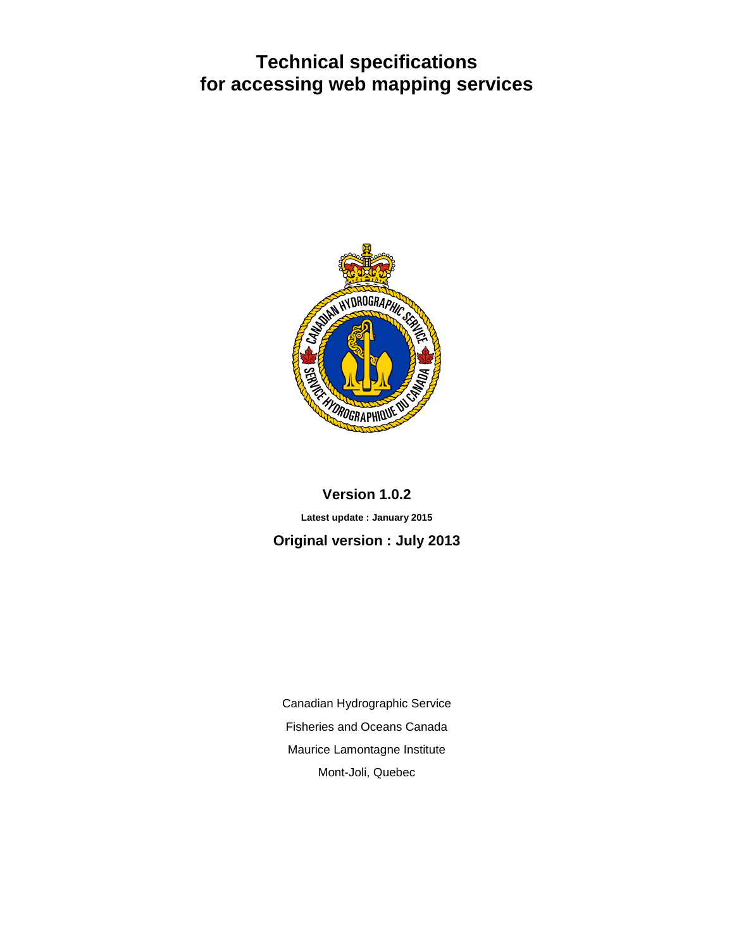# **Technical specifications for accessing web mapping services**



# **Version 1.0.2 Latest update : January 2015 Original version : July 2013**

Canadian Hydrographic Service Fisheries and Oceans Canada Maurice Lamontagne Institute Mont-Joli, Quebec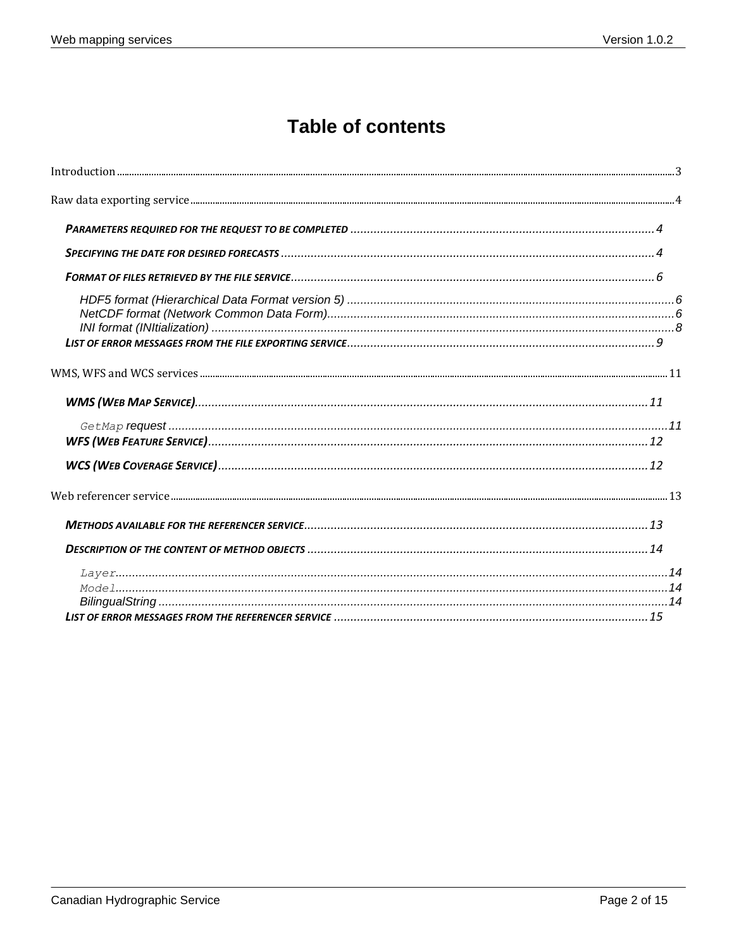# **Table of contents**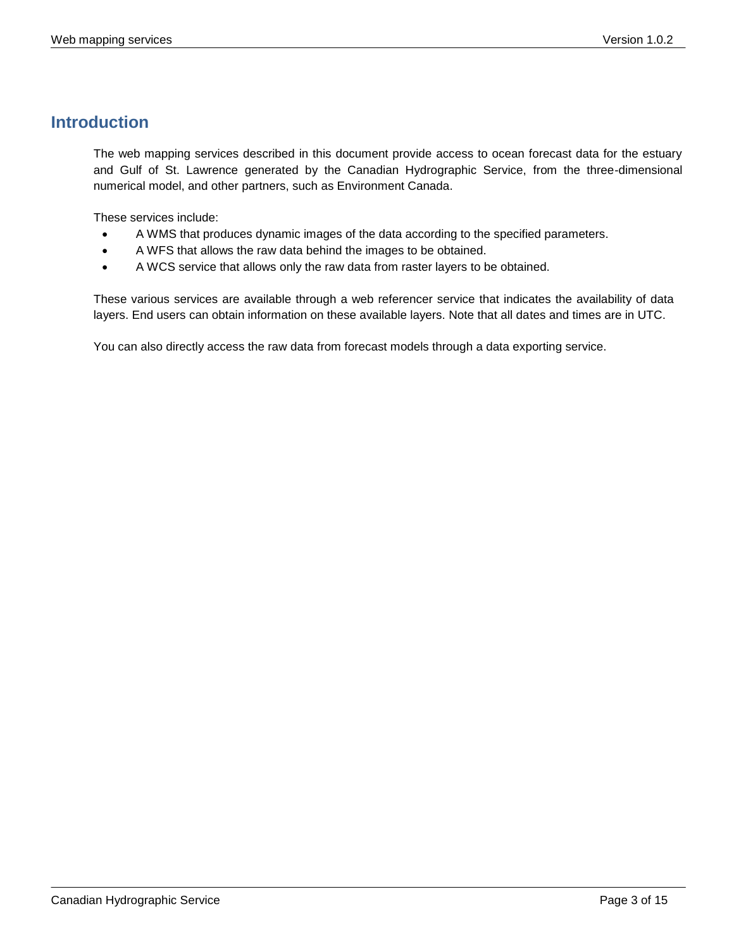# <span id="page-2-0"></span>**Introduction**

The web mapping services described in this document provide access to ocean forecast data for the estuary and Gulf of St. Lawrence generated by the Canadian Hydrographic Service, from the three-dimensional numerical model, and other partners, such as Environment Canada.

These services include:

- A WMS that produces dynamic images of the data according to the specified parameters.
- A WFS that allows the raw data behind the images to be obtained.
- A WCS service that allows only the raw data from raster layers to be obtained.

These various services are available through a web referencer service that indicates the availability of data layers. End users can obtain information on these available layers. Note that all dates and times are in UTC.

You can also directly access the raw data from forecast models through a data exporting service.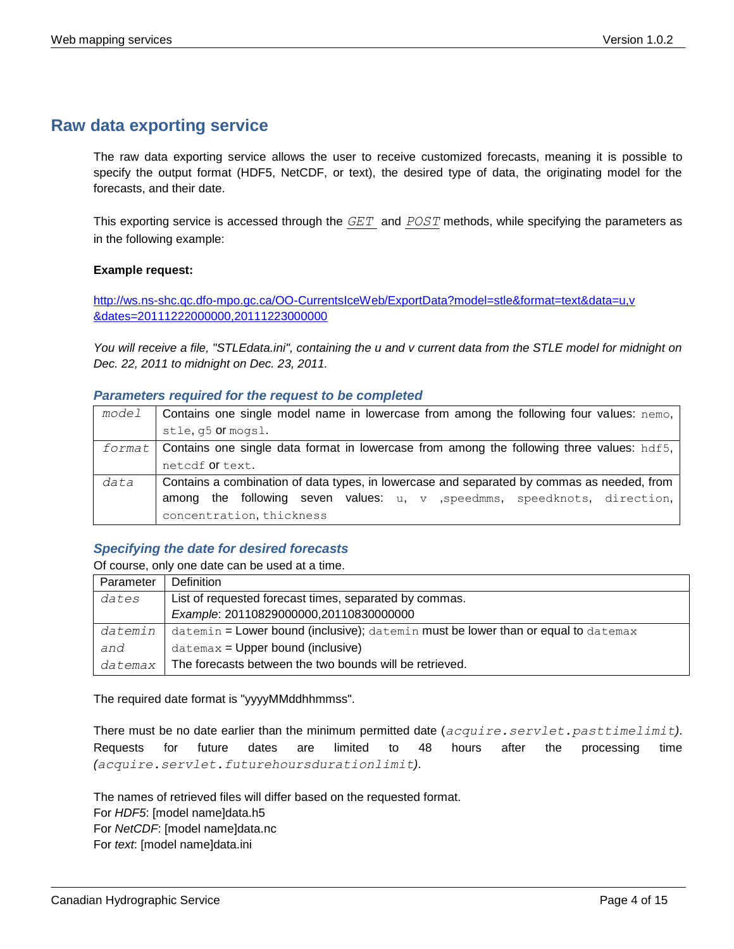## <span id="page-3-0"></span>**Raw data exporting service**

The raw data exporting service allows the user to receive customized forecasts, meaning it is possible to specify the output format (HDF5, NetCDF, or text), the desired type of data, the originating model for the forecasts, and their date.

This exporting service is accessed through the *[GET](http://www.siteduzero.com/tutoriel-3-35613-les-requetes-http.html)* and *[POST](http://www.siteduzero.com/tutoriel-3-35613-les-requetes-http.html)* methods, while specifying the parameters as in the following example:

#### **Example request:**

[http://ws.ns-shc.qc.dfo-mpo.gc.ca/OO-CurrentsIceWeb/ExportData?model=stle&format=text&data=u,v](http://ws.ns-shc.qc.dfo-mpo.gc.ca/OO-CurrentsIceWeb/ExportData?model=stle&format=text&data=u,v%20&dates=20111222000000,20111223000000)  [&dates=20111222000000,20111223000000](http://ws.ns-shc.qc.dfo-mpo.gc.ca/OO-CurrentsIceWeb/ExportData?model=stle&format=text&data=u,v%20&dates=20111222000000,20111223000000)

*You will receive a file, "STLEdata.ini", containing the u and v current data from the STLE model for midnight on Dec. 22, 2011 to midnight on Dec. 23, 2011.*

#### <span id="page-3-1"></span>*Parameters required for the request to be completed*

| model  | Contains one single model name in lowercase from among the following four values: nemo,    |
|--------|--------------------------------------------------------------------------------------------|
|        | stle, q5 <b>Or</b> mogsl.                                                                  |
| format | Contains one single data format in lowercase from among the following three values: hdf5,  |
|        | netcdf or text.                                                                            |
| data   | Contains a combination of data types, in lowercase and separated by commas as needed, from |
|        | among the following seven values: u, v , speedmms, speedknots, direction,                  |
|        | concentration, thickness                                                                   |

#### <span id="page-3-2"></span>*Specifying the date for desired forecasts*

Of course, only one date can be used at a time.

| Parameter | Definition                                                                              |
|-----------|-----------------------------------------------------------------------------------------|
| dates     | List of requested forecast times, separated by commas.                                  |
|           | Example: 20110829000000,20110830000000                                                  |
| datemin   | datemin = Lower bound (inclusive); $d$ atemin must be lower than or equal to $d$ atemax |
| and       | $d$ atemax = Upper bound (inclusive)                                                    |
| datemax   | The forecasts between the two bounds will be retrieved.                                 |

The required date format is "yyyyMMddhhmmss".

There must be no date earlier than the minimum permitted date (*acquire.servlet.pasttimelimit)*. Requests for future dates are limited to 48 hours after the processing time *(acquire.servlet.futurehoursdurationlimit)*.

The names of retrieved files will differ based on the requested format. For *HDF5*: [model name]data.h5

For *NetCDF*: [model name]data.nc

For *text*: [model name]data.ini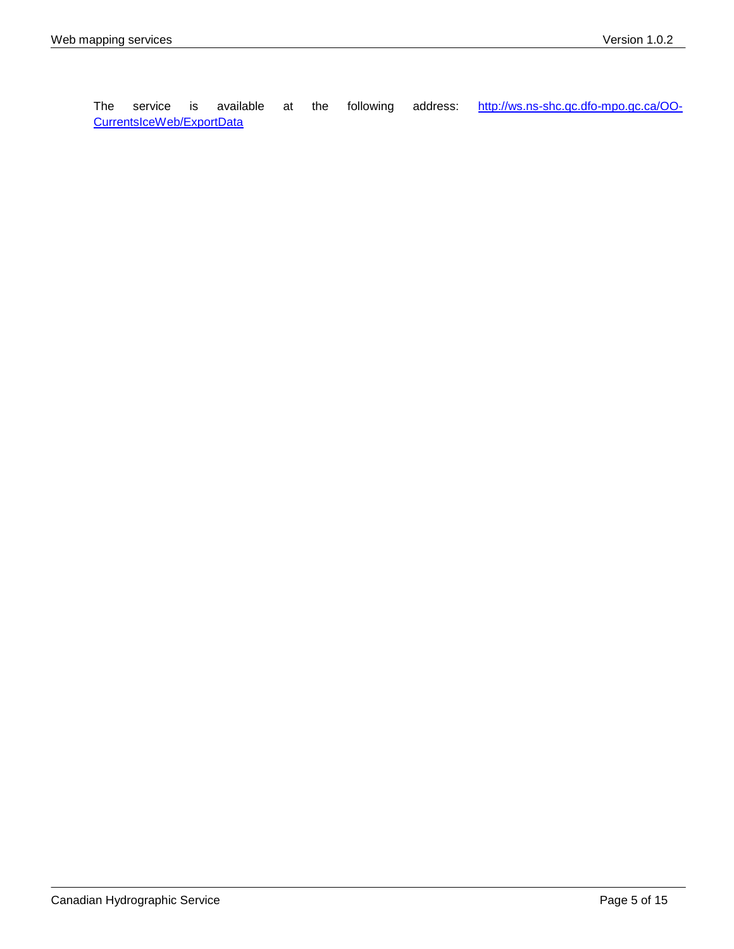The service is available at the following address: [http://ws.ns-shc.qc.dfo-mpo.gc.ca/OO-](http://ws.ns-shc.qc.dfo-mpo.gc.ca/OO-CurrentsIceWeb/ExportData)[CurrentsIceWeb/ExportData](http://ws.ns-shc.qc.dfo-mpo.gc.ca/OO-CurrentsIceWeb/ExportData)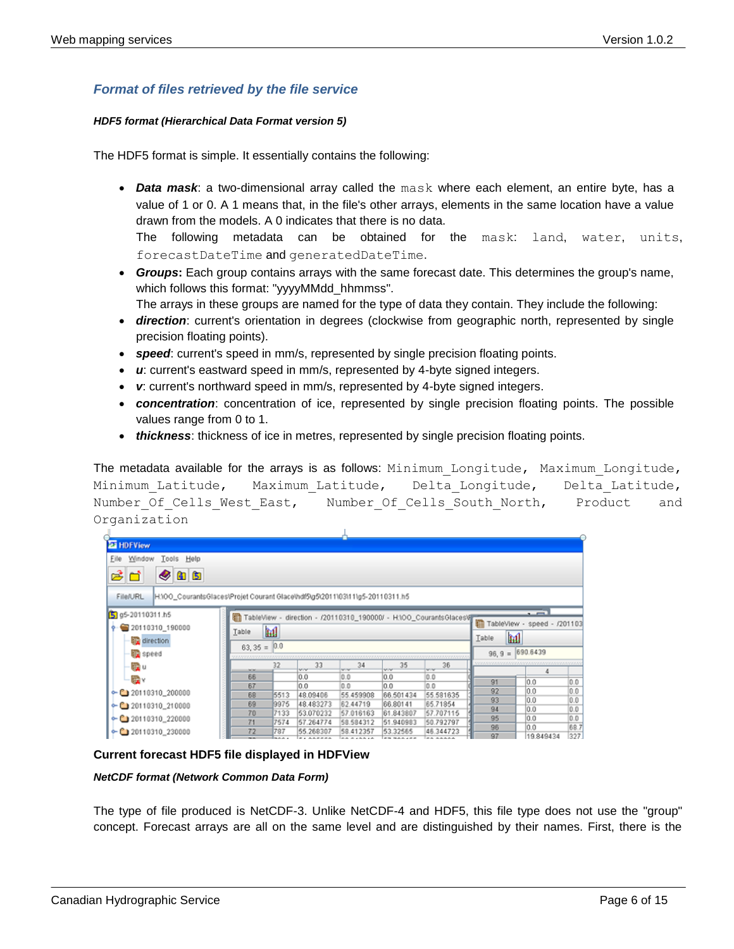### <span id="page-5-0"></span>*Format of files retrieved by the file service*

#### <span id="page-5-1"></span>*HDF5 format (Hierarchical Data Format version 5)*

The HDF5 format is simple. It essentially contains the following:

 *Data mask*: a two-dimensional array called the mask where each element, an entire byte, has a value of 1 or 0. A 1 means that, in the file's other arrays, elements in the same location have a value drawn from the models. A 0 indicates that there is no data.

The following metadata can be obtained for the mask: land, water, units, forecastDateTime and generatedDateTime.

 *Groups***:** Each group contains arrays with the same forecast date. This determines the group's name, which follows this format: "yyyyMMdd\_hhmmss".

The arrays in these groups are named for the type of data they contain. They include the following:

- *direction*: current's orientation in degrees (clockwise from geographic north, represented by single precision floating points).
- *speed*: current's speed in mm/s, represented by single precision floating points.
- *u*: current's eastward speed in mm/s, represented by 4-byte signed integers.
- *v*: current's northward speed in mm/s, represented by 4-byte signed integers.
- *concentration*: concentration of ice, represented by single precision floating points. The possible values range from 0 to 1.
- *thickness*: thickness of ice in metres, represented by single precision floating points.

The metadata available for the arrays is as follows: Minimum Longitude, Maximum Longitude, Minimum Latitude, Maximum Latitude, Delta Longitude, Delta Latitude, Number Of Cells West East, Number Of Cells South North, Product and Organization

| <b>El</b> HDFView                                                                       |               |              |                       |                       |                       |                                                                    |             |                 |      |
|-----------------------------------------------------------------------------------------|---------------|--------------|-----------------------|-----------------------|-----------------------|--------------------------------------------------------------------|-------------|-----------------|------|
| Tools<br>Eile Window<br>Help                                                            |               |              |                       |                       |                       |                                                                    |             |                 |      |
| ෂ්ප<br>405                                                                              |               |              |                       |                       |                       |                                                                    |             |                 |      |
| H:\00_CourantsGlaces\Projet Courant Glace\hdf5\g5\2011\03\11\g5-20110311.h5<br>File/URL |               |              |                       |                       |                       |                                                                    |             |                 |      |
| Sg g5-20110311.h5                                                                       |               |              |                       |                       |                       | TableView - direction - /20110310_190000/ - H:\00_CourantsGlaces\/ |             | $\sim$ $-$      |      |
| 20110310 190000                                                                         | Table         | m            |                       |                       |                       |                                                                    | TableView - | speed - /201103 |      |
| direction                                                                               |               |              |                       |                       |                       |                                                                    | Table.      | m               |      |
| <b>SD</b> speed                                                                         | $63,35 = 0.0$ |              |                       |                       |                       |                                                                    | $96, 9 =$   | 690.6439        |      |
| 疆山                                                                                      | <b>MOM</b>    | 32           | 33                    | 34<br><b>SPRAY</b>    | 35<br><b>OVO</b>      | 36<br><b>SPORT</b>                                                 |             |                 |      |
| ⊞ √                                                                                     | 66            |              | 0.0                   | 0.0                   | 0.0                   | 0.0                                                                | 91          | 0.0             | 0.0  |
| $\leftarrow$ ( 20110310 200000                                                          | 67            |              | 0.0                   | 0.0                   | 0.0                   | 0.0                                                                | 92          | 0.0             | 0.0  |
|                                                                                         | 68<br>69      | 5513<br>9975 | 48.09406<br>48.483273 | 55.459908<br>62.44719 | 66.501434<br>66.80141 | 55.581635<br>65.71854                                              | 93          | 0.0             | 0.0  |
| $\leftarrow$ (1) 20110310_210000                                                        | 70            | 7133         | 53.070232             | 57.016163             | 61.843807             | 57.707115                                                          | 94          | 0.0             | 0.0  |
| $\leftarrow$ (120110310 220000                                                          | 71            | 7574         | 57.264774             | 58.584312             | 51.940983             | 50.792797                                                          | 95          | 0.0             | 0.0  |
| $\leftarrow$ ( 20110310 230000                                                          | 72            | 787          | 55.268307             | 58.412357             | 53.32565              | 46.344723                                                          | 96          | 0.0             | 68.7 |

**Current forecast HDF5 file displayed in HDFView**

<span id="page-5-2"></span>*NetCDF format (Network Common Data Form)*

The type of file produced is NetCDF-3. Unlike NetCDF-4 and HDF5, this file type does not use the "group" concept. Forecast arrays are all on the same level and are distinguished by their names. First, there is the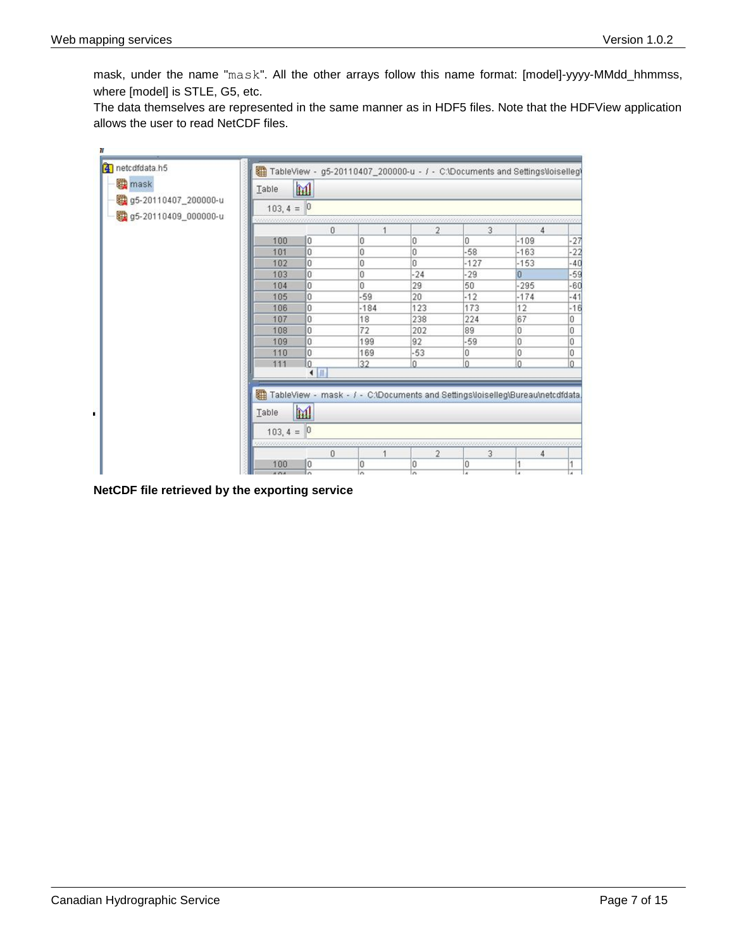$\overline{u}$ 

mask, under the name "mask". All the other arrays follow this name format: [model]-yyyy-MMdd\_hhmmss, where [model] is STLE, G5, etc.

The data themselves are represented in the same manner as in HDF5 files. Note that the HDFView application allows the user to read NetCDF files.

| 4 netcdfdata.h5                              |              |                | TableView - g5-20110407_200000-u - / - C:\Documents and Settings\loiselleg\   |                |        |        |       |
|----------------------------------------------|--------------|----------------|-------------------------------------------------------------------------------|----------------|--------|--------|-------|
| <b>to mask</b>                               | m<br>Table   |                |                                                                               |                |        |        |       |
| 05-20110407_200000-u<br>g5-20110409_000000-u | $103, 4 = 0$ |                |                                                                               |                |        |        |       |
|                                              |              | $\theta$       |                                                                               | $\overline{2}$ | 3      | 4      |       |
|                                              | 100          | O              | n                                                                             | ū              | n      | $-109$ | -27   |
|                                              | 101          | lo.            | O                                                                             | O              | $-58$  | $-163$ | $-22$ |
|                                              | 102          | o              | 0                                                                             | n              | $-127$ | $-153$ | $-40$ |
|                                              | 103          | l0             | O                                                                             | $-24$          | $-29$  | n      | $-59$ |
|                                              | 104          | O              | n                                                                             | 29             | 50     | $-295$ | $-60$ |
|                                              | 105          | o              | $-59$                                                                         | 20             | $-12$  | $-174$ | $-41$ |
|                                              | 106          | 0              | $-184$                                                                        | 123            | 173    | 12     | $-16$ |
|                                              | 107          | l0             | 18                                                                            | 238            | 224    | 67     | Ū     |
|                                              | 108          | 0              | 72                                                                            | 202            | 89     | Ū      | Ũ     |
|                                              | 109          | O              | 199                                                                           | 92             | $-59$  | Ū      | Ω     |
|                                              | 110          | 0              | 169                                                                           | $-53$          | 0      | Ū      | Ū     |
|                                              | 111          | o              | 32                                                                            | ñ              | n      | ñ      | n     |
|                                              |              | $\blacksquare$ | TableView - mask - / - C:\Documents and Settings\loiselleg\Bureau\netcdfdata. |                |        |        |       |
|                                              | Table        | M              |                                                                               |                |        |        |       |
|                                              | $103, 4 = 0$ |                |                                                                               |                |        |        |       |
|                                              |              | 0              |                                                                               | $\overline{2}$ | з      | 4      |       |
|                                              | 100          | 10             | Ω                                                                             | Ū              | 0      |        |       |

**NetCDF file retrieved by the exporting service**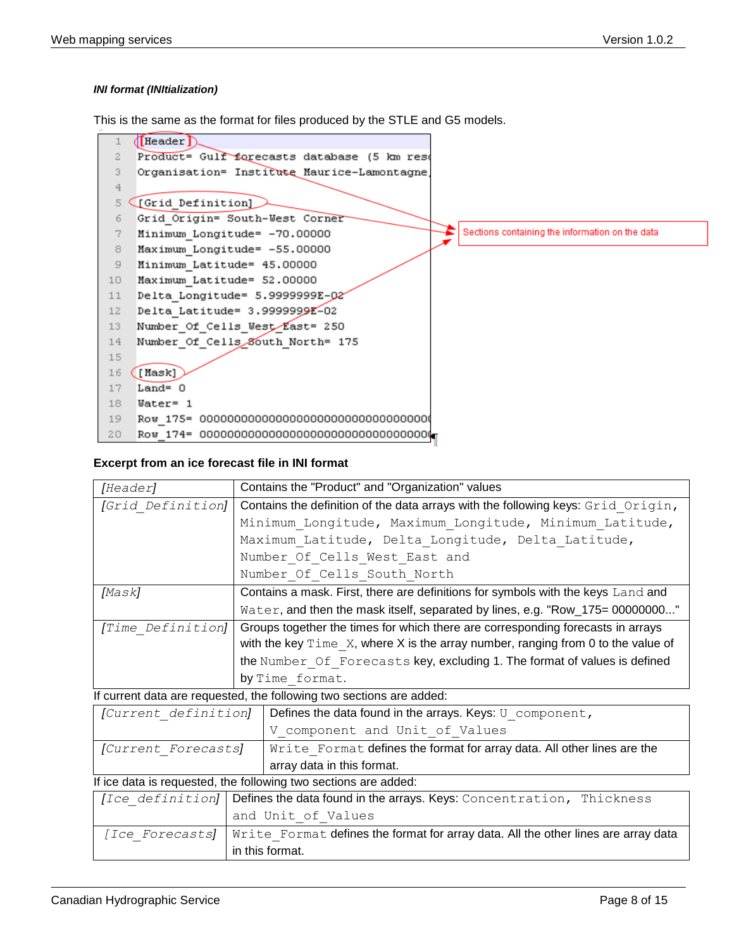#### <span id="page-7-0"></span>*INI format (INItialization)*

This is the same as the format for files produced by the STLE and G5 models.



#### **Excerpt from an ice forecast file in INI format**

| [Header]                                                        | Contains the "Product" and "Organization" values                                            |  |  |  |  |
|-----------------------------------------------------------------|---------------------------------------------------------------------------------------------|--|--|--|--|
| [Grid Definition]                                               | Contains the definition of the data arrays with the following keys: Grid Origin,            |  |  |  |  |
|                                                                 | Minimum Longitude, Maximum Longitude, Minimum Latitude,                                     |  |  |  |  |
|                                                                 | Maximum Latitude, Delta Longitude, Delta Latitude,                                          |  |  |  |  |
|                                                                 | Number Of Cells West East and                                                               |  |  |  |  |
|                                                                 | Number Of Cells South North                                                                 |  |  |  |  |
| [Mask]                                                          | Contains a mask. First, there are definitions for symbols with the keys Land and            |  |  |  |  |
|                                                                 | Water, and then the mask itself, separated by lines, e.g. "Row_175= 00000000"               |  |  |  |  |
| [Time Definition]                                               | Groups together the times for which there are corresponding forecasts in arrays             |  |  |  |  |
|                                                                 | with the key $\text{Time } X$ , where X is the array number, ranging from 0 to the value of |  |  |  |  |
|                                                                 | the Number Of Forecasts key, excluding 1. The format of values is defined                   |  |  |  |  |
|                                                                 | by Time format.                                                                             |  |  |  |  |
|                                                                 | If current data are requested, the following two sections are added:                        |  |  |  |  |
| [Current definition]                                            | Defines the data found in the arrays. Keys: U component,                                    |  |  |  |  |
|                                                                 | V component and Unit of Values                                                              |  |  |  |  |
| [Current Forecasts]                                             | Write Format defines the format for array data. All other lines are the                     |  |  |  |  |
| array data in this format.                                      |                                                                                             |  |  |  |  |
| If ice data is requested, the following two sections are added: |                                                                                             |  |  |  |  |
|                                                                 | [Ice definition] Defines the data found in the arrays. Keys: Concentration, Thickness       |  |  |  |  |
|                                                                 | and Unit of Values                                                                          |  |  |  |  |
| [Ice Forecasts]                                                 | Write Format defines the format for array data. All the other lines are array data          |  |  |  |  |
|                                                                 | in this format.                                                                             |  |  |  |  |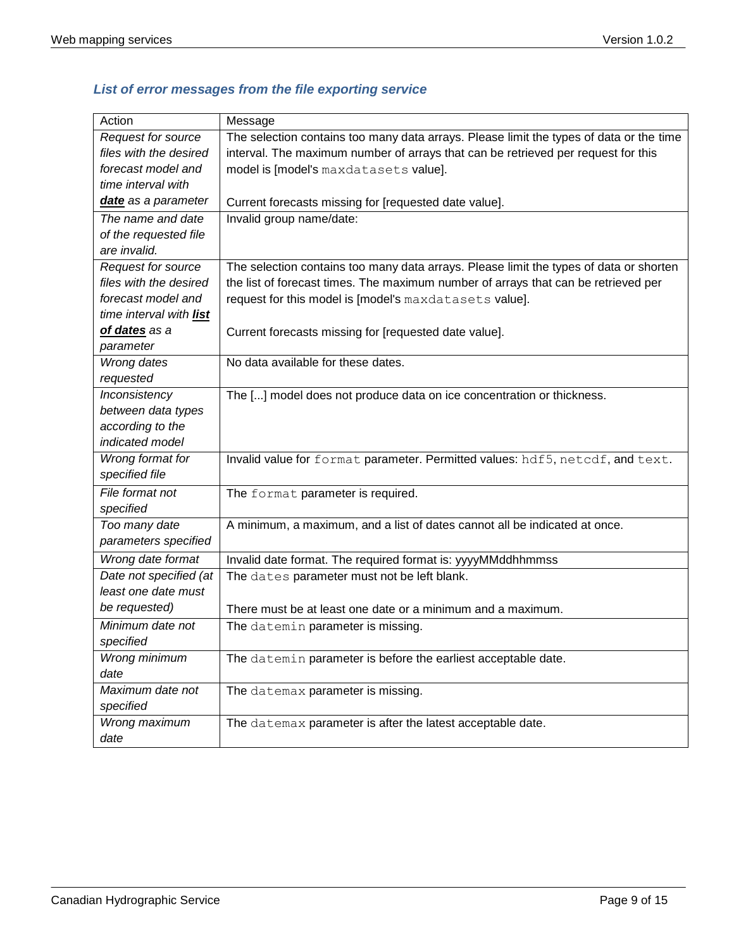| Action                  | Message                                                                                 |
|-------------------------|-----------------------------------------------------------------------------------------|
| Request for source      | The selection contains too many data arrays. Please limit the types of data or the time |
| files with the desired  | interval. The maximum number of arrays that can be retrieved per request for this       |
| forecast model and      | model is [model's maxdatasets value].                                                   |
| time interval with      |                                                                                         |
| date as a parameter     | Current forecasts missing for [requested date value].                                   |
| The name and date       | Invalid group name/date:                                                                |
| of the requested file   |                                                                                         |
| are invalid.            |                                                                                         |
| Request for source      | The selection contains too many data arrays. Please limit the types of data or shorten  |
| files with the desired  | the list of forecast times. The maximum number of arrays that can be retrieved per      |
| forecast model and      | request for this model is [model's maxdatasets value].                                  |
| time interval with list |                                                                                         |
| of dates as a           | Current forecasts missing for [requested date value].                                   |
| parameter               |                                                                                         |
| Wrong dates             | No data available for these dates.                                                      |
| requested               |                                                                                         |
| Inconsistency           | The [] model does not produce data on ice concentration or thickness.                   |
| between data types      |                                                                                         |
| according to the        |                                                                                         |
| indicated model         |                                                                                         |
| Wrong format for        | Invalid value for format parameter. Permitted values: hdf5, netcdf, and text.           |
| specified file          |                                                                                         |
| File format not         | The format parameter is required.                                                       |
| specified               |                                                                                         |
| Too many date           | A minimum, a maximum, and a list of dates cannot all be indicated at once.              |
| parameters specified    |                                                                                         |
| Wrong date format       | Invalid date format. The required format is: yyyyMMddhhmmss                             |
| Date not specified (at  | The dates parameter must not be left blank.                                             |
| least one date must     |                                                                                         |
| be requested)           | There must be at least one date or a minimum and a maximum.                             |
| Minimum date not        | The datemin parameter is missing.                                                       |
| specified               |                                                                                         |
| Wrong minimum           | The datemin parameter is before the earliest acceptable date.                           |
| date                    |                                                                                         |
| Maximum date not        | The datemax parameter is missing.                                                       |
| specified               |                                                                                         |
| Wrong maximum           | The datemax parameter is after the latest acceptable date.                              |
| date                    |                                                                                         |

# <span id="page-8-0"></span>*List of error messages from the file exporting service*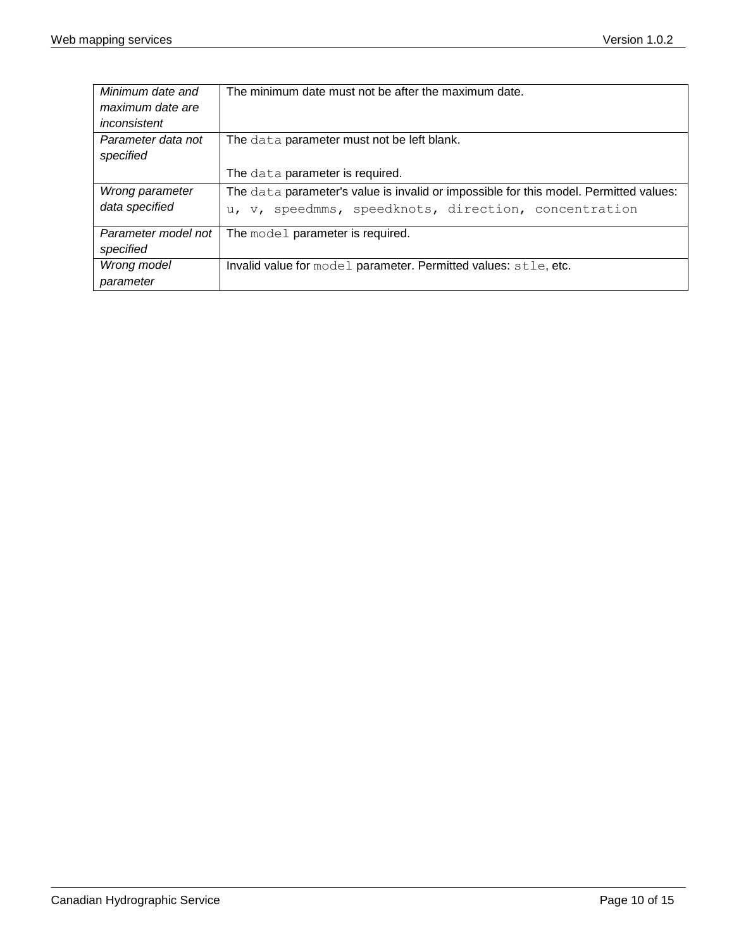| Minimum date and    | The minimum date must not be after the maximum date.                                  |
|---------------------|---------------------------------------------------------------------------------------|
| maximum date are    |                                                                                       |
| inconsistent        |                                                                                       |
| Parameter data not  | The data parameter must not be left blank.                                            |
| specified           |                                                                                       |
|                     | The data parameter is required.                                                       |
| Wrong parameter     | The data parameter's value is invalid or impossible for this model. Permitted values: |
| data specified      | speedmms, speedknots, direction, concentration<br>u, v,                               |
| Parameter model not | The model parameter is required.                                                      |
| specified           |                                                                                       |
| Wrong model         | Invalid value for model parameter. Permitted values: stle, etc.                       |
| parameter           |                                                                                       |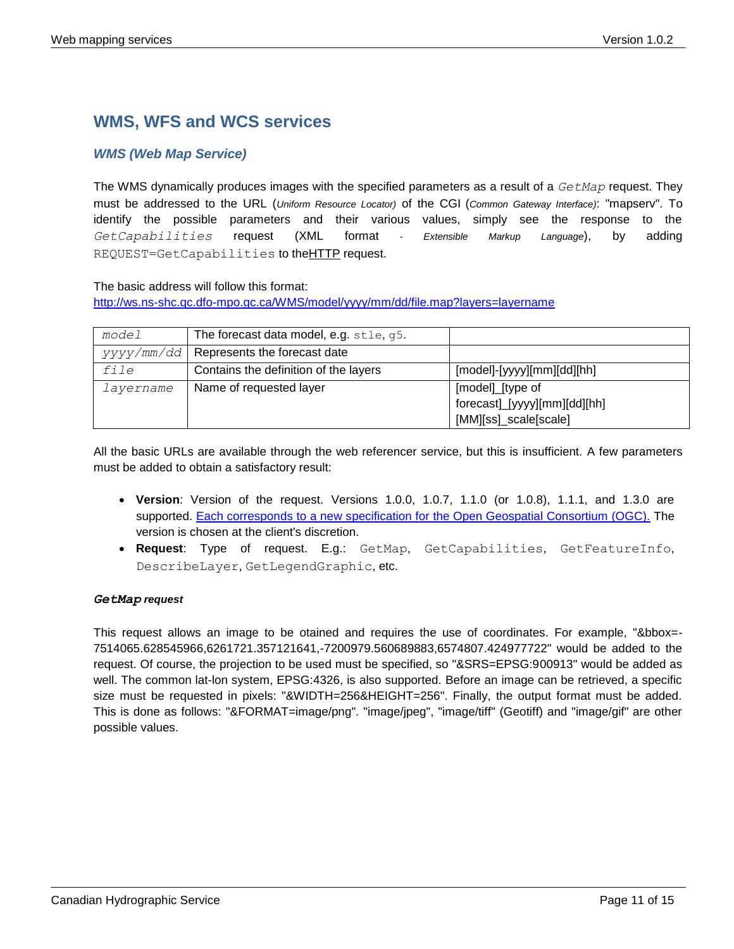# <span id="page-10-0"></span>**WMS, WFS and WCS services**

### <span id="page-10-1"></span>*WMS (Web Map Service)*

The WMS dynamically produces images with the specified parameters as a result of a *GetMap* request. They must be addressed to the URL (*Uniform Resource Locator)* of the CGI (*Common Gateway Interface)*: "mapserv". To identify the possible parameters and their various values, simply see the response to the *GetCapabilities* request (XML format *- Extensible Markup Language*), by adding REQUEST=GetCapabilities to th[eHTTP](http://www.siteduzero.com/tutoriel-3-35613-les-requetes-http.html) request.

#### The basic address will follow this format:

<http://ws.ns-shc.qc.dfo-mpo.gc.ca/WMS/model/yyyy/mm/dd/file.map?layers=layername>

| model     | The forecast data model, e.g. stle, g5.     |                              |
|-----------|---------------------------------------------|------------------------------|
|           | $yyyy/mm/dd$   Represents the forecast date |                              |
| file      | Contains the definition of the layers       | [model]-[yyyy][mm][dd][hh]   |
| layername | Name of requested layer                     | [model]_[type of             |
|           |                                             | forecast]_[yyyy][mm][dd][hh] |
|           |                                             | [MM][ss]_scale[scale]        |

All the basic URLs are available through the web referencer service, but this is insufficient. A few parameters must be added to obtain a satisfactory result:

- **Version**: Version of the request. Versions 1.0.0, 1.0.7, 1.1.0 (or 1.0.8), 1.1.1, and 1.3.0 are supported. [Each corresponds to a new specification for the Open Geospatial Consortium \(OGC\).](http://www.opengeospatial.org/standards/wms) The version is chosen at the client's discretion.
- **Request**: Type of request. E.g.: GetMap, GetCapabilities, GetFeatureInfo, DescribeLayer, GetLegendGraphic, etc.

#### <span id="page-10-2"></span>*GetMap request*

This request allows an image to be otained and requires the use of coordinates. For example, "&bbox=-7514065.628545966,6261721.357121641,-7200979.560689883,6574807.424977722" would be added to the request. Of course, the projection to be used must be specified, so "&SRS=EPSG:900913" would be added as well. The common lat-lon system, EPSG:4326, is also supported. Before an image can be retrieved, a specific size must be requested in pixels: "&WIDTH=256&HEIGHT=256". Finally, the output format must be added. This is done as follows: "&FORMAT=image/png". "image/jpeg", "image/tiff" (Geotiff) and "image/gif" are other possible values.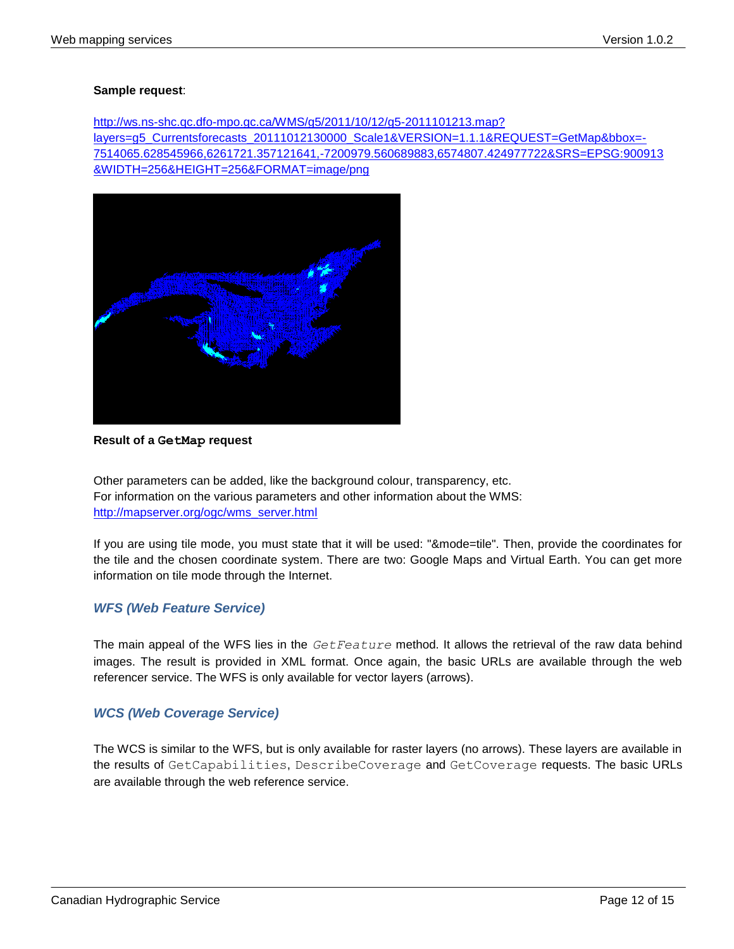#### **Sample request**:

[http://ws.ns-shc.qc.dfo-mpo.gc.ca/WMS/g5/2011/10/12/g5-2011101213.map?](http://ws.ns-shc.qc.dfo-mpo.gc.ca/WMS/g5/2011/10/12/g5-2011101213.map?%20layers=g5_Currentsforecasts_20111012130000_Scale1&VERSION=1.1.1&REQUEST=GetMap&bbox=-7514065.628545966,6261721.357121641,-7200979.560689883,6574807.424977722&SRS=EPSG:900913%20&WIDTH=256&HEIGHT=256&FORMAT=image/png)  [layers=g5\\_Currentsforecasts\\_20111012130000\\_Scale1&VERSION=1.1.1&REQUEST=GetMap&bbox=-](http://ws.ns-shc.qc.dfo-mpo.gc.ca/WMS/g5/2011/10/12/g5-2011101213.map?%20layers=g5_Currentsforecasts_20111012130000_Scale1&VERSION=1.1.1&REQUEST=GetMap&bbox=-7514065.628545966,6261721.357121641,-7200979.560689883,6574807.424977722&SRS=EPSG:900913%20&WIDTH=256&HEIGHT=256&FORMAT=image/png) [7514065.628545966,6261721.357121641,-7200979.560689883,6574807.424977722&SRS=EPSG:900913](http://ws.ns-shc.qc.dfo-mpo.gc.ca/WMS/g5/2011/10/12/g5-2011101213.map?%20layers=g5_Currentsforecasts_20111012130000_Scale1&VERSION=1.1.1&REQUEST=GetMap&bbox=-7514065.628545966,6261721.357121641,-7200979.560689883,6574807.424977722&SRS=EPSG:900913%20&WIDTH=256&HEIGHT=256&FORMAT=image/png)  [&WIDTH=256&HEIGHT=256&FORMAT=image/png](http://ws.ns-shc.qc.dfo-mpo.gc.ca/WMS/g5/2011/10/12/g5-2011101213.map?%20layers=g5_Currentsforecasts_20111012130000_Scale1&VERSION=1.1.1&REQUEST=GetMap&bbox=-7514065.628545966,6261721.357121641,-7200979.560689883,6574807.424977722&SRS=EPSG:900913%20&WIDTH=256&HEIGHT=256&FORMAT=image/png)



#### **Result of a GetMap request**

Other parameters can be added, like the background colour, transparency, etc. For information on the various parameters and other information about the WMS: [http://mapserver.org/ogc/wms\\_server.html](http://mapserver.org/ogc/wms_server.html)

If you are using tile mode, you must state that it will be used: "&mode=tile". Then, provide the coordinates for the tile and the chosen coordinate system. There are two: Google Maps and Virtual Earth. You can get more information on tile mode through the Internet.

#### <span id="page-11-0"></span>*WFS (Web Feature Service)*

The main appeal of the WFS lies in the *GetFeature* method. It allows the retrieval of the raw data behind images. The result is provided in XML format. Once again, the basic URLs are available through the web referencer service. The WFS is only available for vector layers (arrows).

### <span id="page-11-1"></span>*WCS (Web Coverage Service)*

The WCS is similar to the WFS, but is only available for raster layers (no arrows). These layers are available in the results of GetCapabilities, DescribeCoverage and GetCoverage requests. The basic URLs are available through the web reference service.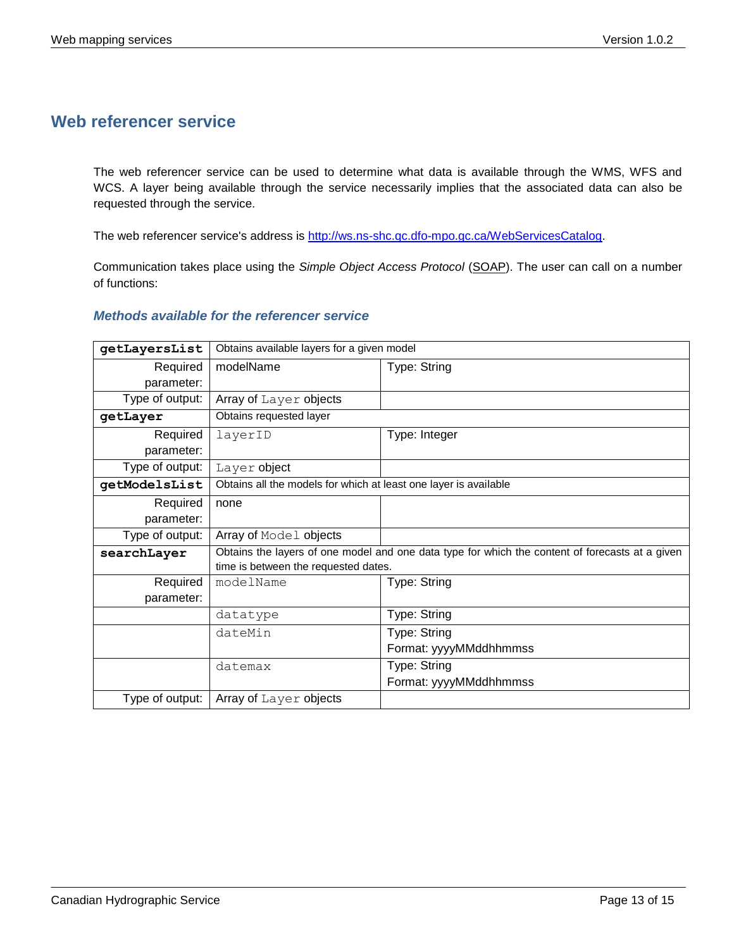# <span id="page-12-0"></span>**Web referencer service**

The web referencer service can be used to determine what data is available through the WMS, WFS and WCS. A layer being available through the service necessarily implies that the associated data can also be requested through the service.

The web referencer service's address is [http://ws.ns-shc.qc.dfo-mpo.gc.ca/WebServicesCatalog.](http://ws.ns-shc.qc.dfo-mpo.gc.ca/WebServicesCatalog)

Communication takes place using the *Simple Object Access Protocol* [\(SOAP\)](http://www.w3.org/TR/soap/). The user can call on a number of functions:

#### <span id="page-12-1"></span>*Methods available for the referencer service*

| getLayersList   | Obtains available layers for a given model                                                                                              |                        |  |  |
|-----------------|-----------------------------------------------------------------------------------------------------------------------------------------|------------------------|--|--|
| Required        | modelName                                                                                                                               | Type: String           |  |  |
| parameter:      |                                                                                                                                         |                        |  |  |
| Type of output: | Array of Layer objects                                                                                                                  |                        |  |  |
| getLayer        | Obtains requested layer                                                                                                                 |                        |  |  |
| Required        | layerID                                                                                                                                 | Type: Integer          |  |  |
| parameter:      |                                                                                                                                         |                        |  |  |
| Type of output: | Layer object                                                                                                                            |                        |  |  |
| getModelsList   | Obtains all the models for which at least one layer is available                                                                        |                        |  |  |
| Required        | none                                                                                                                                    |                        |  |  |
| parameter:      |                                                                                                                                         |                        |  |  |
| Type of output: | Array of Model objects                                                                                                                  |                        |  |  |
| searchLayer     | Obtains the layers of one model and one data type for which the content of forecasts at a given<br>time is between the requested dates. |                        |  |  |
| Required        | modelName                                                                                                                               | Type: String           |  |  |
| parameter:      |                                                                                                                                         |                        |  |  |
|                 | datatype                                                                                                                                | Type: String           |  |  |
|                 | dateMin                                                                                                                                 | Type: String           |  |  |
|                 |                                                                                                                                         | Format: yyyyMMddhhmmss |  |  |
|                 | datemax                                                                                                                                 | Type: String           |  |  |
|                 |                                                                                                                                         | Format: yyyyMMddhhmmss |  |  |
| Type of output: | Array of Layer objects                                                                                                                  |                        |  |  |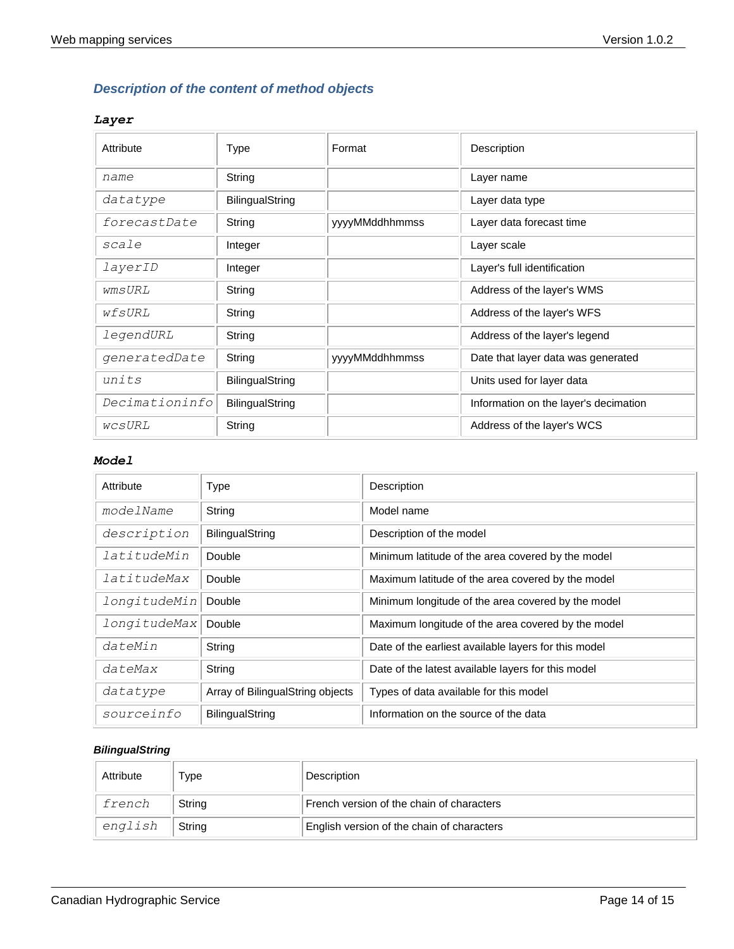# <span id="page-13-0"></span>*Description of the content of method objects*

### <span id="page-13-1"></span>*Layer*

| Attribute      | Type            | Format         | Description                           |
|----------------|-----------------|----------------|---------------------------------------|
| name           | String          |                | Layer name                            |
| datatype       | BilingualString |                | Layer data type                       |
| forecastDate   | String          | yyyyMMddhhmmss | Layer data forecast time              |
| scale          | Integer         |                | Layer scale                           |
| layerID        | Integer         |                | Layer's full identification           |
| wmsURL         | String          |                | Address of the layer's WMS            |
| wfsURL         | String          |                | Address of the layer's WFS            |
| legendURL      | String          |                | Address of the layer's legend         |
| generatedDate  | String          | yyyyMMddhhmmss | Date that layer data was generated    |
| units          | BilingualString |                | Units used for layer data             |
| Decimationinfo | BilingualString |                | Information on the layer's decimation |
| wcsURL         | String          |                | Address of the layer's WCS            |

#### <span id="page-13-2"></span>*Model*

| Attribute    | Type                             | Description                                          |
|--------------|----------------------------------|------------------------------------------------------|
| modelName    | String                           | Model name                                           |
| description  | <b>BilingualString</b>           | Description of the model                             |
| latitudeMin  | Double                           | Minimum latitude of the area covered by the model    |
| latitudeMax  | Double                           | Maximum latitude of the area covered by the model    |
| longitudeMin | Double                           | Minimum longitude of the area covered by the model   |
| longitudeMax | Double                           | Maximum longitude of the area covered by the model   |
| dateMin      | String                           | Date of the earliest available layers for this model |
| dateMax      | String                           | Date of the latest available layers for this model   |
| datatype     | Array of BilingualString objects | Types of data available for this model               |
| sourceinfo   | <b>BilingualString</b>           | Information on the source of the data                |

### <span id="page-13-3"></span>*BilingualString*

| Attribute | Type   | Description                                |
|-----------|--------|--------------------------------------------|
| french    | String | French version of the chain of characters  |
| english   | String | English version of the chain of characters |